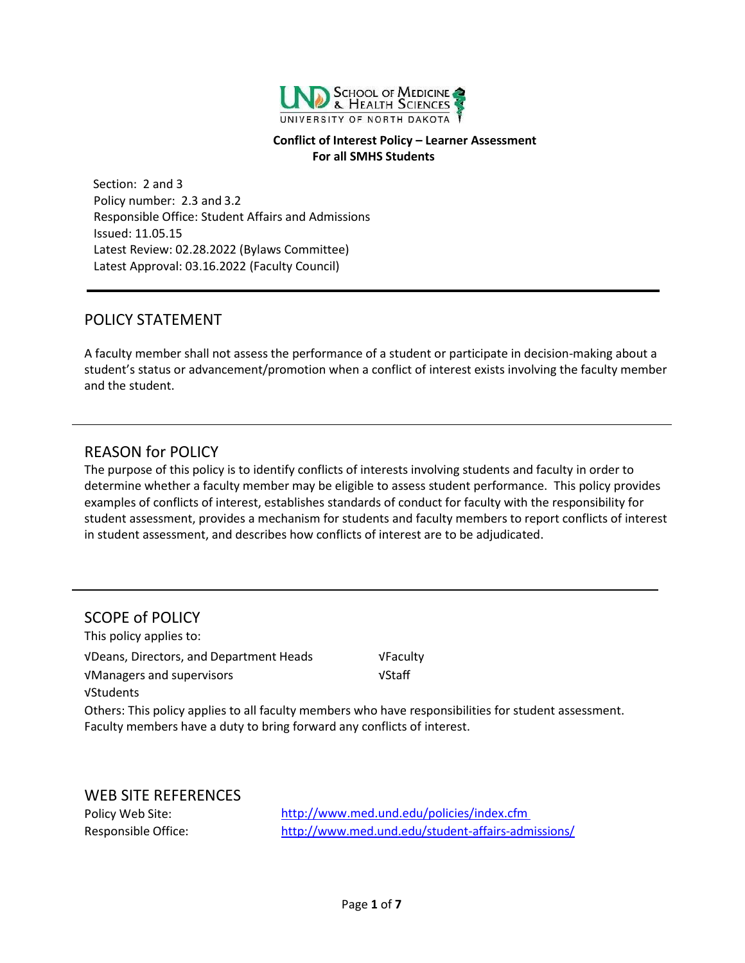

#### **Conflict of Interest Policy – Learner Assessment For all SMHS Students**

Section: 2 and 3 Policy number: 2.3 and 3.2 Responsible Office: Student Affairs and Admissions Issued: 11.05.15 Latest Review: 02.28.2022 (Bylaws Committee) Latest Approval: 03.16.2022 (Faculty Council)

#### <span id="page-0-0"></span>POLICY STATEMENT

A faculty member shall not assess the performance of a student or participate in decision-making about a student's status or advancement/promotion when a conflict of interest exists involving the faculty member and the student.

### <span id="page-0-1"></span>REASON for POLICY

The purpose of this policy is to identify conflicts of interests involving students and faculty in order to determine whether a faculty member may be eligible to assess student performance. This policy provides examples of conflicts of interest, establishes standards of conduct for faculty with the responsibility for student assessment, provides a mechanism for students and faculty members to report conflicts of interest in student assessment, and describes how conflicts of interest are to be adjudicated.

#### <span id="page-0-2"></span>SCOPE of POLICY

This policy applies to: √Deans, Directors, and Department Heads √Faculty √Managers and supervisors √Staff √Students

Others: This policy applies to all faculty members who have responsibilities for student assessment. Faculty members have a duty to bring forward any conflicts of interest.

<span id="page-0-3"></span>WEB SITE REFERENCES

Policy Web Site: <http://www.med.und.edu/policies/index.cfm> Responsible Office: <http://www.med.und.edu/student-affairs-admissions/>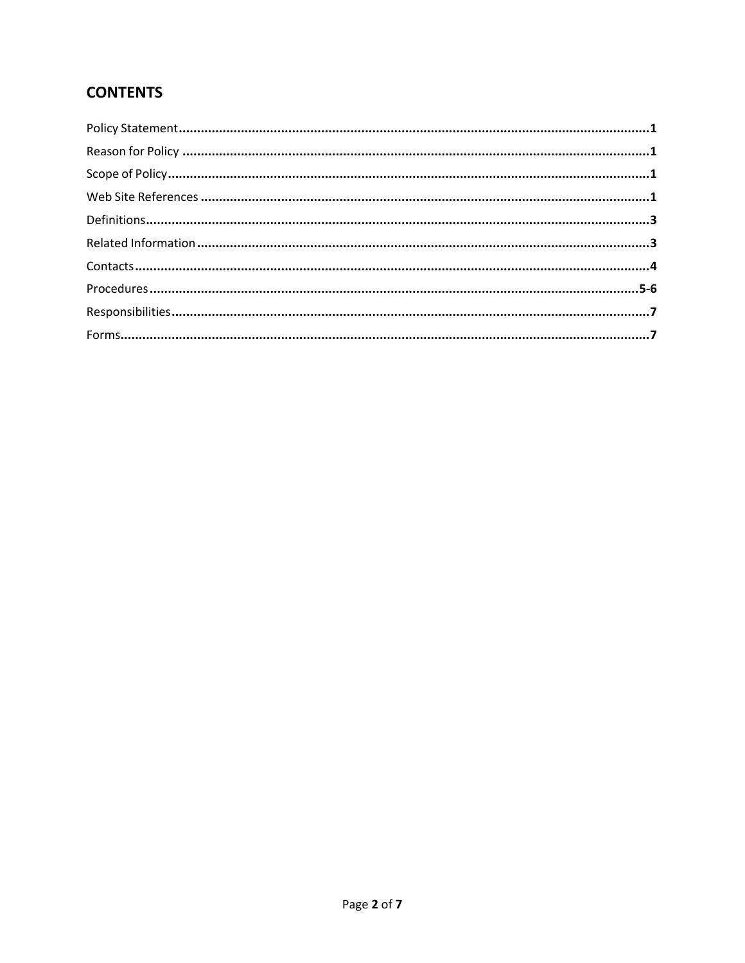# **CONTENTS**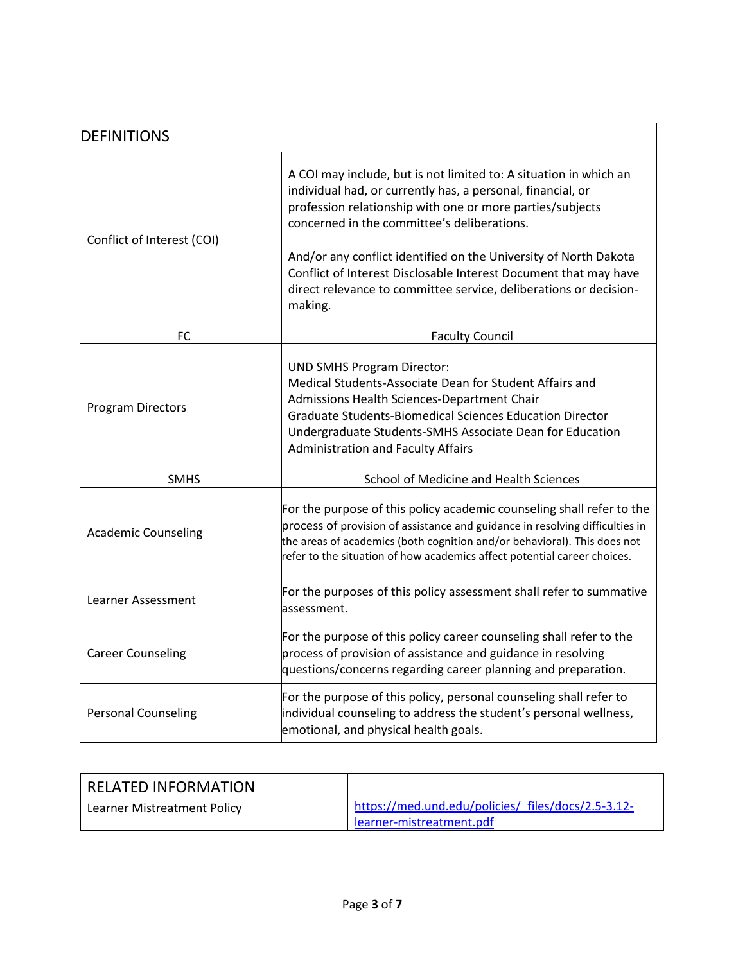| <b>DEFINITIONS</b>         |                                                                                                                                                                                                                                                                                                                                                                                                                                                                      |  |
|----------------------------|----------------------------------------------------------------------------------------------------------------------------------------------------------------------------------------------------------------------------------------------------------------------------------------------------------------------------------------------------------------------------------------------------------------------------------------------------------------------|--|
| Conflict of Interest (COI) | A COI may include, but is not limited to: A situation in which an<br>individual had, or currently has, a personal, financial, or<br>profession relationship with one or more parties/subjects<br>concerned in the committee's deliberations.<br>And/or any conflict identified on the University of North Dakota<br>Conflict of Interest Disclosable Interest Document that may have<br>direct relevance to committee service, deliberations or decision-<br>making. |  |
| FC                         | <b>Faculty Council</b>                                                                                                                                                                                                                                                                                                                                                                                                                                               |  |
| <b>Program Directors</b>   | <b>UND SMHS Program Director:</b><br>Medical Students-Associate Dean for Student Affairs and<br>Admissions Health Sciences-Department Chair<br><b>Graduate Students-Biomedical Sciences Education Director</b><br>Undergraduate Students-SMHS Associate Dean for Education<br><b>Administration and Faculty Affairs</b>                                                                                                                                              |  |
| <b>SMHS</b>                | School of Medicine and Health Sciences                                                                                                                                                                                                                                                                                                                                                                                                                               |  |
| <b>Academic Counseling</b> | For the purpose of this policy academic counseling shall refer to the<br>process of provision of assistance and guidance in resolving difficulties in<br>the areas of academics (both cognition and/or behavioral). This does not<br>refer to the situation of how academics affect potential career choices.                                                                                                                                                        |  |
| Learner Assessment         | For the purposes of this policy assessment shall refer to summative<br>assessment.                                                                                                                                                                                                                                                                                                                                                                                   |  |
| <b>Career Counseling</b>   | For the purpose of this policy career counseling shall refer to the<br>process of provision of assistance and guidance in resolving<br>questions/concerns regarding career planning and preparation.                                                                                                                                                                                                                                                                 |  |
| <b>Personal Counseling</b> | For the purpose of this policy, personal counseling shall refer to<br>individual counseling to address the student's personal wellness,<br>emotional, and physical health goals.                                                                                                                                                                                                                                                                                     |  |

| RELATED INFORMATION         |                                                    |
|-----------------------------|----------------------------------------------------|
| Learner Mistreatment Policy | https://med.und.edu/policies/ files/docs/2.5-3.12- |
|                             | learner-mistreatment.pdf                           |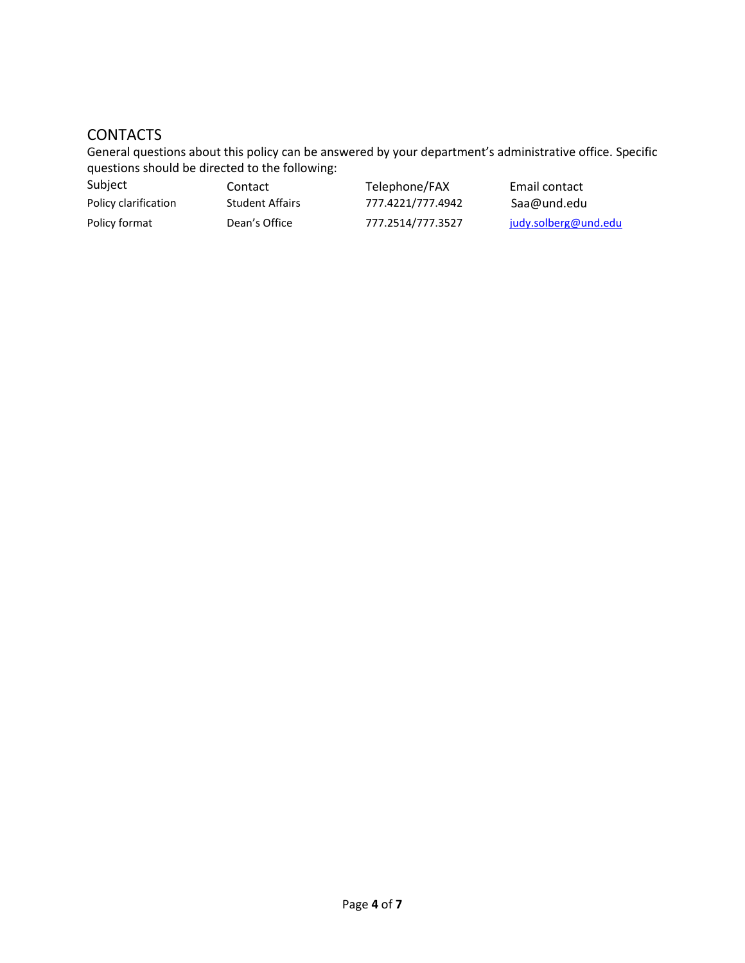## **CONTACTS**

General questions about this policy can be answered by your department's administrative office. Specific questions should be directed to the following:

| Subject              | Contact                | Telephone/FAX     | Email contact        |
|----------------------|------------------------|-------------------|----------------------|
| Policy clarification | <b>Student Affairs</b> | 777.4221/777.4942 | Saa@und.edu          |
| Policy format        | Dean's Office          | 777.2514/777.3527 | judy.solberg@und.edu |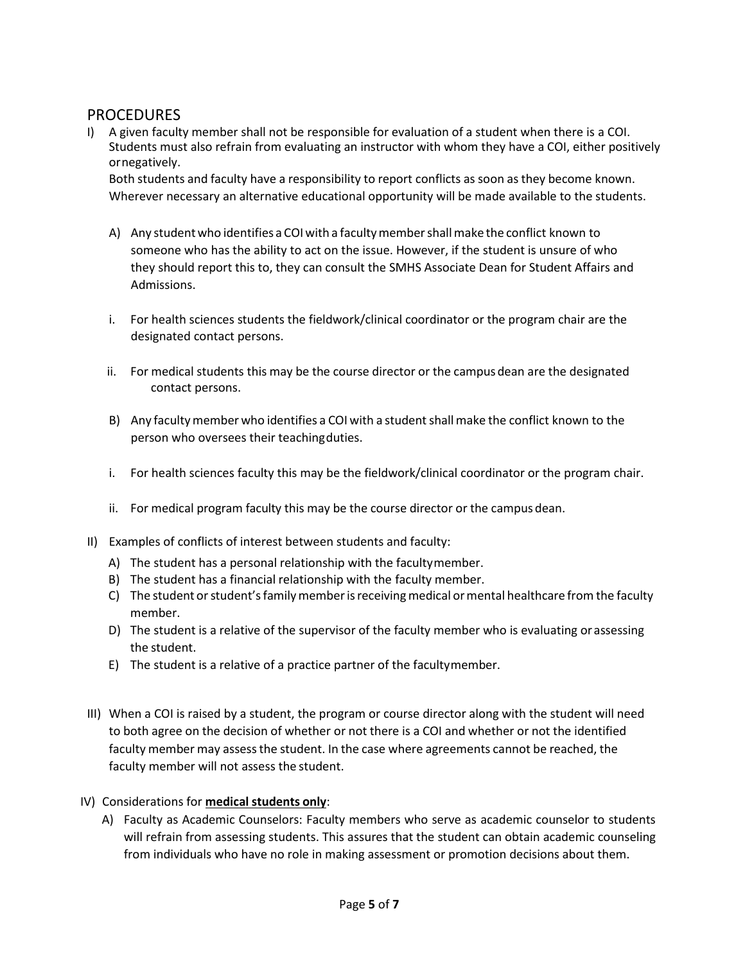### **PROCEDURES**

I) A given faculty member shall not be responsible for evaluation of a student when there is a COI. Students must also refrain from evaluating an instructor with whom they have a COI, either positively ornegatively.

Both students and faculty have a responsibility to report conflicts as soon as they become known. Wherever necessary an alternative educational opportunity will be made available to the students.

- A) Any studentwho identifies a COIwith a facultymembershallmake the conflict known to someone who has the ability to act on the issue. However, if the student is unsure of who they should report this to, they can consult the SMHS Associate Dean for Student Affairs and Admissions.
- i. For health sciences students the fieldwork/clinical coordinator or the program chair are the designated contact persons.
- ii. For medical students this may be the course director or the campus dean are the designated contact persons.
- B) Any facultymember who identifies a COI with a studentshallmake the conflict known to the person who oversees their teachingduties.
- i. For health sciences faculty this may be the fieldwork/clinical coordinator or the program chair.
- ii. For medical program faculty this may be the course director or the campus dean.
- II) Examples of conflicts of interest between students and faculty:
	- A) The student has a personal relationship with the facultymember.
	- B) The student has a financial relationship with the faculty member.
	- C) The student or student's family member is receiving medical or mental healthcare from the faculty member.
	- D) The student is a relative of the supervisor of the faculty member who is evaluating orassessing the student.
	- E) The student is a relative of a practice partner of the facultymember.
- III) When a COI is raised by a student, the program or course director along with the student will need to both agree on the decision of whether or not there is a COI and whether or not the identified faculty member may assessthe student. In the case where agreements cannot be reached, the faculty member will not assess the student.
- IV) Considerations for **medical students only**:
	- A) Faculty as Academic Counselors: Faculty members who serve as academic counselor to students will refrain from assessing students. This assures that the student can obtain academic counseling from individuals who have no role in making assessment or promotion decisions about them.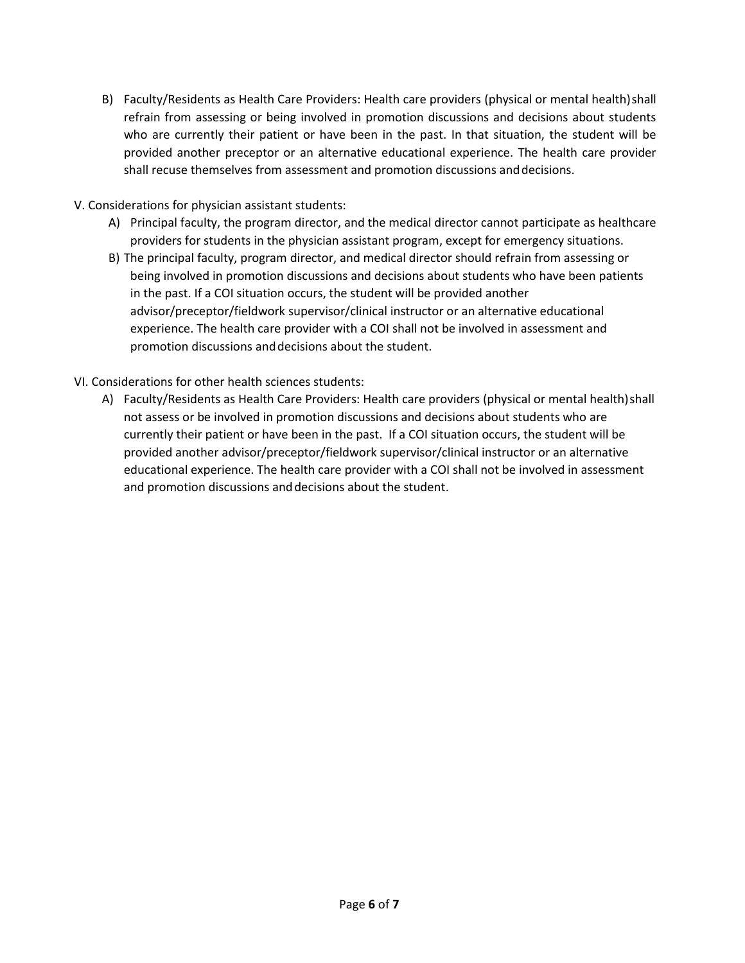- B) Faculty/Residents as Health Care Providers: Health care providers (physical or mental health)shall refrain from assessing or being involved in promotion discussions and decisions about students who are currently their patient or have been in the past. In that situation, the student will be provided another preceptor or an alternative educational experience. The health care provider shall recuse themselves from assessment and promotion discussions anddecisions.
- V. Considerations for physician assistant students:
	- A) Principal faculty, the program director, and the medical director cannot participate as healthcare providers for students in the physician assistant program, except for emergency situations.
	- B) The principal faculty, program director, and medical director should refrain from assessing or being involved in promotion discussions and decisions about students who have been patients in the past. If a COI situation occurs, the student will be provided another advisor/preceptor/fieldwork supervisor/clinical instructor or an alternative educational experience. The health care provider with a COI shall not be involved in assessment and promotion discussions anddecisions about the student.
- VI. Considerations for other health sciences students:
	- A) Faculty/Residents as Health Care Providers: Health care providers (physical or mental health)shall not assess or be involved in promotion discussions and decisions about students who are currently their patient or have been in the past. If a COI situation occurs, the student will be provided another advisor/preceptor/fieldwork supervisor/clinical instructor or an alternative educational experience. The health care provider with a COI shall not be involved in assessment and promotion discussions anddecisions about the student.